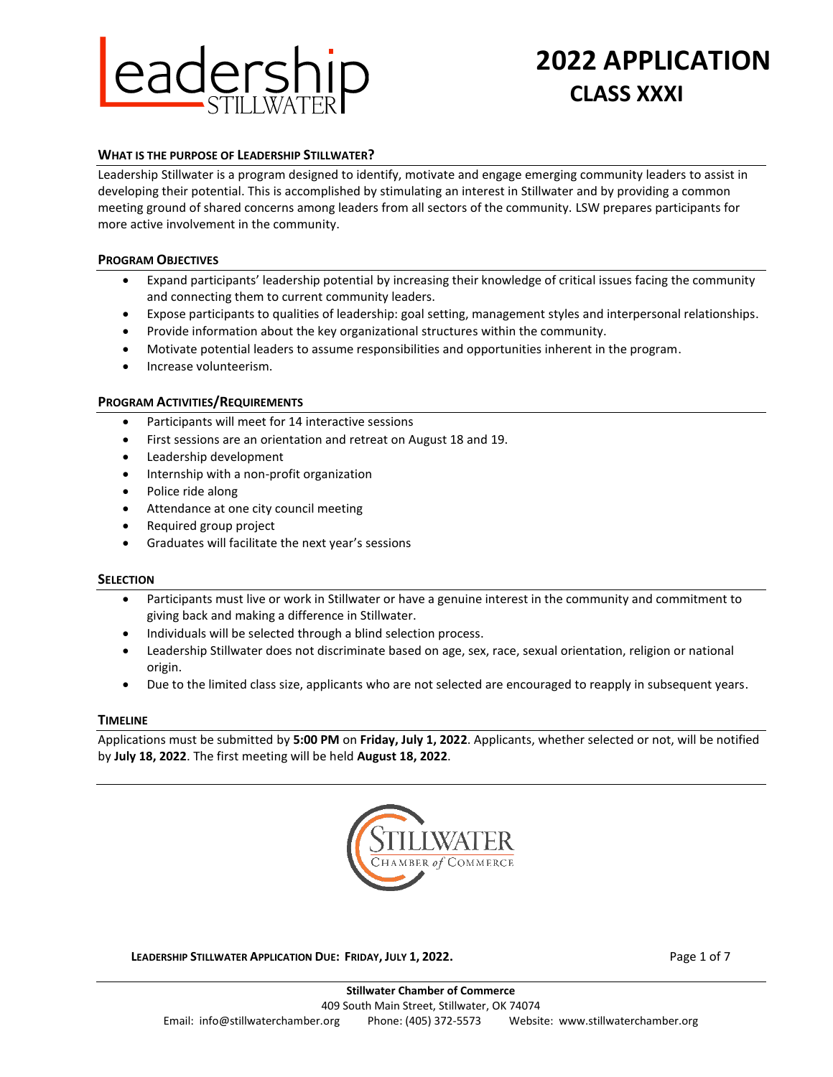

# **2022 APPLICATION CLASS XXXI**

#### **WHAT IS THE PURPOSE OF LEADERSHIP STILLWATER?**

Leadership Stillwater is a program designed to identify, motivate and engage emerging community leaders to assist in developing their potential. This is accomplished by stimulating an interest in Stillwater and by providing a common meeting ground of shared concerns among leaders from all sectors of the community. LSW prepares participants for more active involvement in the community.

#### **PROGRAM OBJECTIVES**

- Expand participants' leadership potential by increasing their knowledge of critical issues facing the community and connecting them to current community leaders.
- Expose participants to qualities of leadership: goal setting, management styles and interpersonal relationships.
- Provide information about the key organizational structures within the community.
- Motivate potential leaders to assume responsibilities and opportunities inherent in the program.
- Increase volunteerism.

#### **PROGRAM ACTIVITIES/REQUIREMENTS**

- Participants will meet for 14 interactive sessions
- First sessions are an orientation and retreat on August 18 and 19.
- Leadership development
- Internship with a non-profit organization
- Police ride along
- Attendance at one city council meeting
- Required group project
- Graduates will facilitate the next year's sessions

#### **SELECTION**

- Participants must live or work in Stillwater or have a genuine interest in the community and commitment to giving back and making a difference in Stillwater.
- Individuals will be selected through a blind selection process.
- Leadership Stillwater does not discriminate based on age, sex, race, sexual orientation, religion or national origin.
- Due to the limited class size, applicants who are not selected are encouraged to reapply in subsequent years.

#### **TIMELINE**

Applications must be submitted by **5:00 PM** on **Friday, July 1, 2022**. Applicants, whether selected or not, will be notified by **July 18, 2022**. The first meeting will be held **August 18, 2022**.



**LEADERSHIP STILLWATER APPLICATION DUE: FRIDAY, JULY 1, 2022.** Page 1 of 7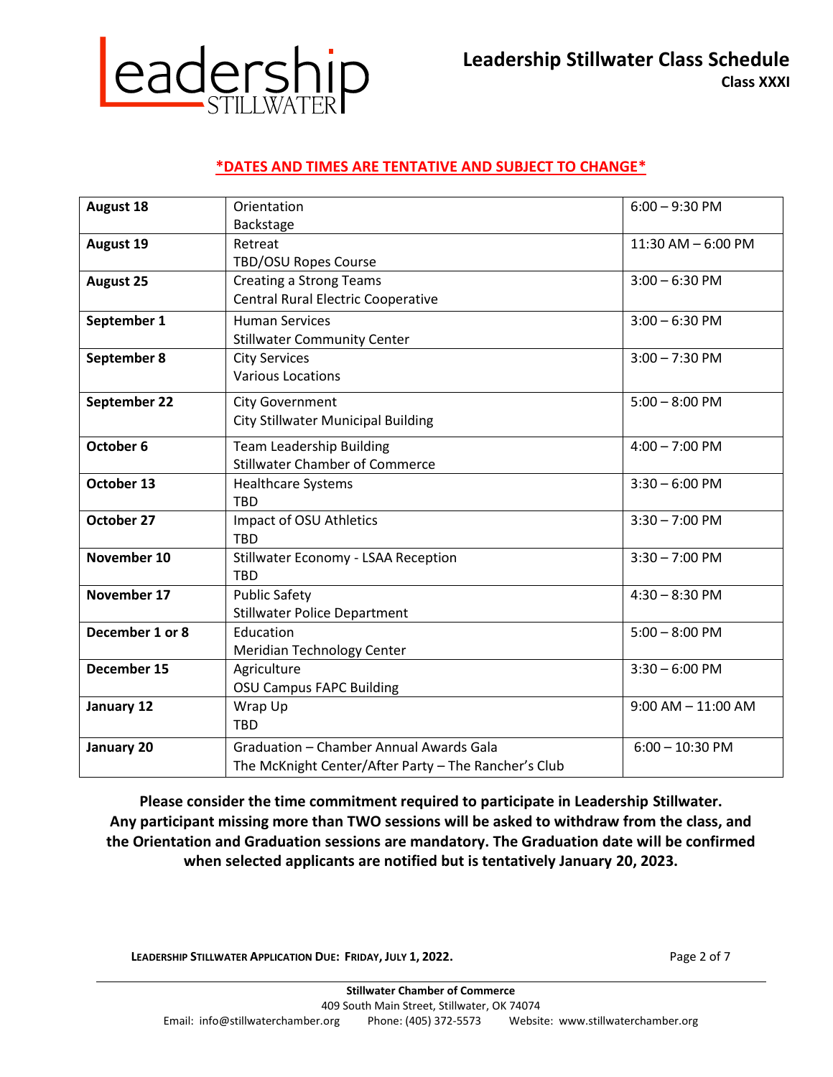**Leadership Stillwater Class Schedule Class XXXI**

# **Leadership**

# **\*DATES AND TIMES ARE TENTATIVE AND SUBJECT TO CHANGE\***

| <b>August 18</b> | Orientation                                          | $6:00 - 9:30$ PM       |
|------------------|------------------------------------------------------|------------------------|
|                  | Backstage                                            |                        |
| <b>August 19</b> | Retreat                                              | $11:30$ AM $-6:00$ PM  |
|                  | <b>TBD/OSU Ropes Course</b>                          |                        |
| <b>August 25</b> | <b>Creating a Strong Teams</b>                       | $3:00 - 6:30$ PM       |
|                  | <b>Central Rural Electric Cooperative</b>            |                        |
| September 1      | <b>Human Services</b>                                | $3:00 - 6:30$ PM       |
|                  | <b>Stillwater Community Center</b>                   |                        |
| September 8      | <b>City Services</b>                                 | $3:00 - 7:30$ PM       |
|                  | <b>Various Locations</b>                             |                        |
| September 22     | <b>City Government</b>                               | $5:00 - 8:00$ PM       |
|                  | City Stillwater Municipal Building                   |                        |
|                  |                                                      |                        |
| October 6        | <b>Team Leadership Building</b>                      | $4:00 - 7:00$ PM       |
|                  | <b>Stillwater Chamber of Commerce</b>                |                        |
| October 13       | <b>Healthcare Systems</b>                            | $3:30 - 6:00$ PM       |
|                  | <b>TBD</b>                                           |                        |
| October 27       | Impact of OSU Athletics                              | $3:30 - 7:00$ PM       |
|                  | <b>TBD</b>                                           |                        |
| November 10      | Stillwater Economy - LSAA Reception                  | $3:30 - 7:00$ PM       |
|                  | <b>TBD</b>                                           |                        |
| November 17      | <b>Public Safety</b>                                 | $4:30 - 8:30$ PM       |
|                  | <b>Stillwater Police Department</b>                  |                        |
| December 1 or 8  | Education                                            | $5:00 - 8:00$ PM       |
|                  | Meridian Technology Center                           |                        |
| December 15      | Agriculture                                          | $3:30 - 6:00$ PM       |
|                  | <b>OSU Campus FAPC Building</b>                      |                        |
| January 12       | Wrap Up                                              | $9:00$ AM $- 11:00$ AM |
|                  | <b>TBD</b>                                           |                        |
| January 20       | Graduation - Chamber Annual Awards Gala              | $6:00 - 10:30$ PM      |
|                  | The McKnight Center/After Party - The Rancher's Club |                        |

**Please consider the time commitment required to participate in Leadership Stillwater. Any participant missing more than TWO sessions will be asked to withdraw from the class, and the Orientation and Graduation sessions are mandatory. The Graduation date will be confirmed when selected applicants are notified but is tentatively January 20, 2023.** 

**LEADERSHIP STILLWATER APPLICATION DUE: FRIDAY, JULY 1, 2022.** Page 2 of 7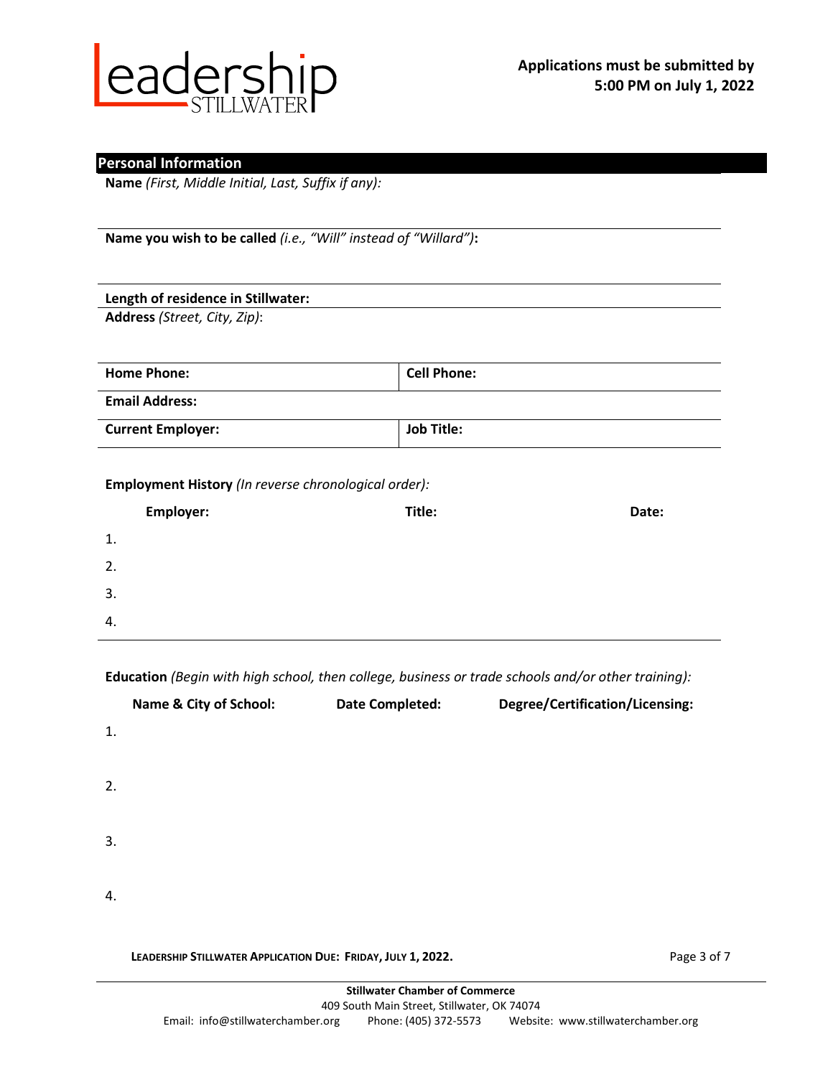

## **Personal Information**

**Name** *(First, Middle Initial, Last, Suffix if any):*

**Name you wish to be called** *(i.e., "Will" instead of "Willard")***:**

# **Length of residence in Stillwater:**

**Address** *(Street, City, Zip)*:

| <b>Home Phone:</b>       | <b>Cell Phone:</b> |
|--------------------------|--------------------|
| <b>Email Address:</b>    |                    |
| <b>Current Employer:</b> | <b>Job Title:</b>  |

#### **Employment History** *(In reverse chronological order):*

|    | Employer: | Title: | Date: |
|----|-----------|--------|-------|
| 1. |           |        |       |
| 2. |           |        |       |
| 3. |           |        |       |
| 4. |           |        |       |

**Education** *(Begin with high school, then college, business or trade schools and/or other training):*

|    | Name & City of School: | <b>Date Completed:</b> | Degree/Certification/Licensing: |
|----|------------------------|------------------------|---------------------------------|
| 1. |                        |                        |                                 |
| 2. |                        |                        |                                 |
| 3. |                        |                        |                                 |
| 4. |                        |                        |                                 |
|    |                        |                        |                                 |

**LEADERSHIP STILLWATER APPLICATION DUE: FRIDAY, JULY 1, 2022.** Page 3 of 7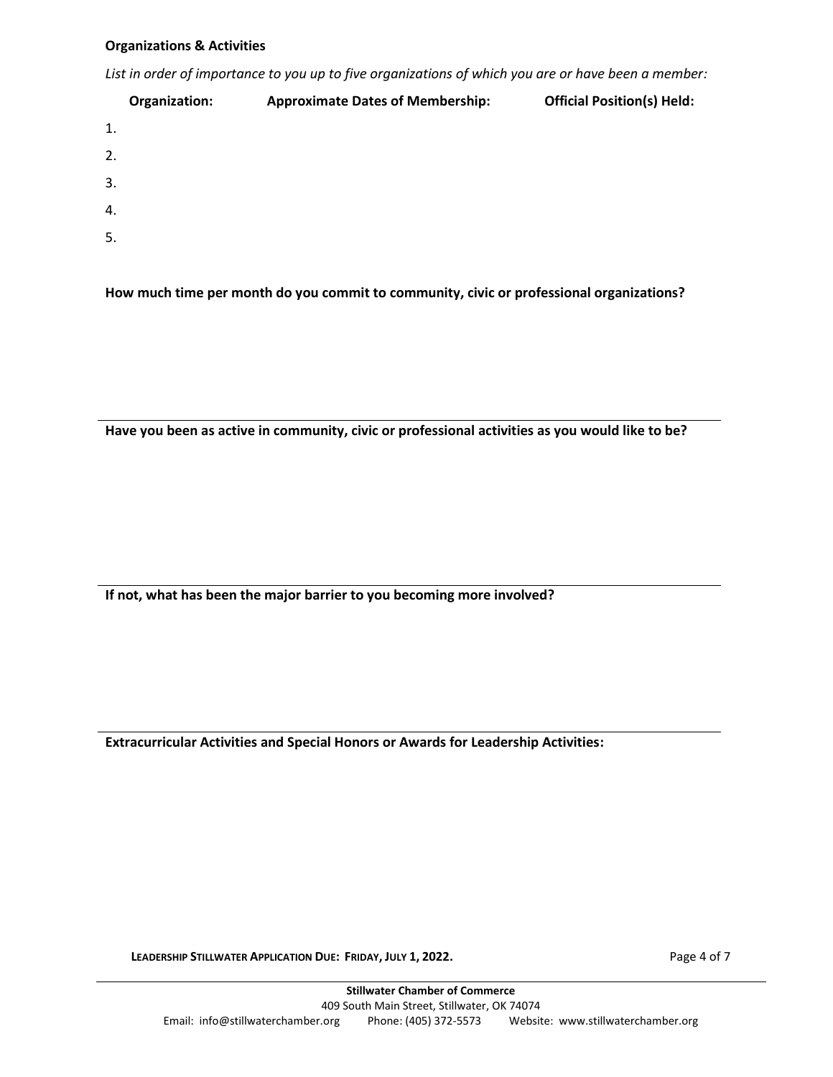#### **Organizations & Activities**

*List in order of importance to you up to five organizations of which you are or have been a member:*

|    | Organization: | <b>Approximate Dates of Membership:</b> | <b>Official Position(s) Held:</b> |
|----|---------------|-----------------------------------------|-----------------------------------|
| 1. |               |                                         |                                   |
| 2. |               |                                         |                                   |
| 3. |               |                                         |                                   |
| 4. |               |                                         |                                   |
| 5. |               |                                         |                                   |
|    |               |                                         |                                   |

**How much time per month do you commit to community, civic or professional organizations?**

**Have you been as active in community, civic or professional activities as you would like to be?**

**If not, what has been the major barrier to you becoming more involved?**

**Extracurricular Activities and Special Honors or Awards for Leadership Activities:**

**LEADERSHIP STILLWATER APPLICATION DUE: FRIDAY, JULY 1, 2022.** Page 4 of 7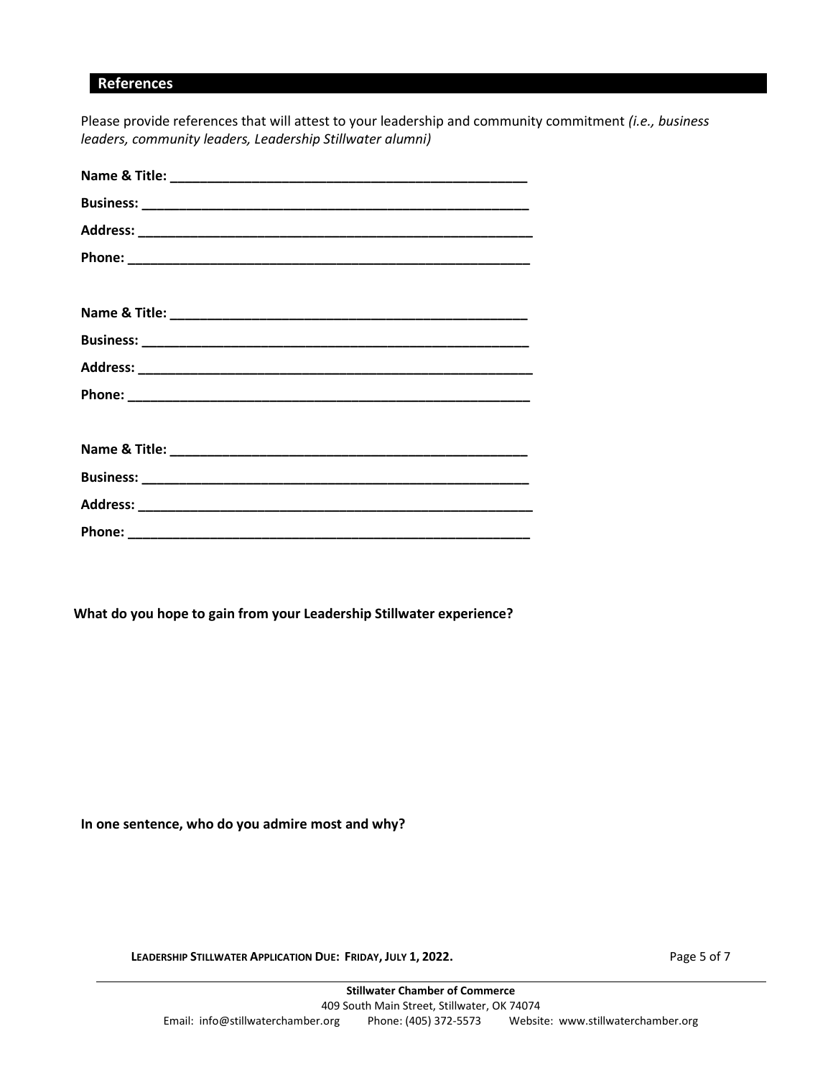# **References**

Please provide references that will attest to your leadership and community commitment *(i.e., business leaders, community leaders, Leadership Stillwater alumni)*

**What do you hope to gain from your Leadership Stillwater experience?**

**In one sentence, who do you admire most and why?**

**LEADERSHIP STILLWATER APPLICATION DUE: FRIDAY, JULY 1, 2022.** Page 5 of 7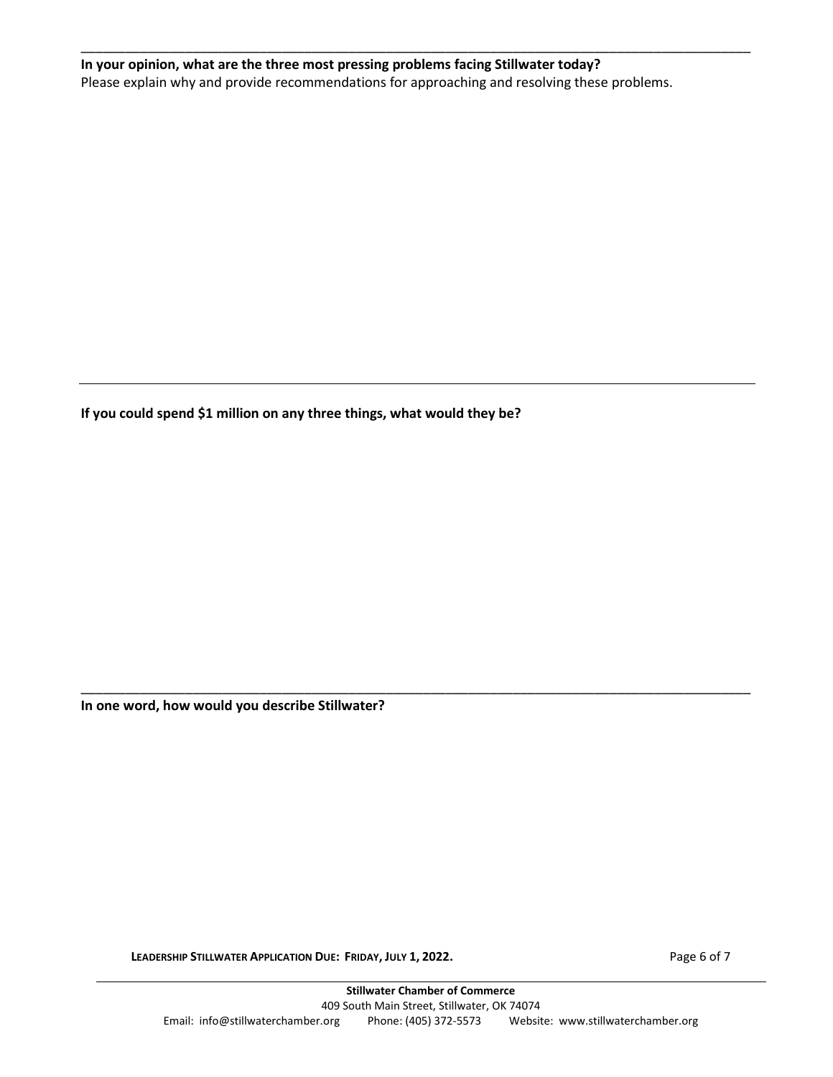# **In your opinion, what are the three most pressing problems facing Stillwater today?** Please explain why and provide recommendations for approaching and resolving these problems.

\_\_\_\_\_\_\_\_\_\_\_\_\_\_\_\_\_\_\_\_\_\_\_\_\_\_\_\_\_\_\_\_\_\_\_\_\_\_\_\_\_\_\_\_\_\_\_\_\_\_\_\_\_\_\_\_\_\_\_\_\_\_\_\_\_\_\_\_\_\_\_\_\_\_\_\_\_\_\_\_\_\_\_\_\_\_\_\_\_\_

**If you could spend \$1 million on any three things, what would they be?**

**In one word, how would you describe Stillwater?**

**LEADERSHIP STILLWATER APPLICATION DUE: FRIDAY, JULY 1, 2022.** Page 6 of 7

\_\_\_\_\_\_\_\_\_\_\_\_\_\_\_\_\_\_\_\_\_\_\_\_\_\_\_\_\_\_\_\_\_\_\_\_\_\_\_\_\_\_\_\_\_\_\_\_\_\_\_\_\_\_\_\_\_\_\_\_\_\_\_\_\_\_\_\_\_\_\_\_\_\_\_\_\_\_\_\_\_\_\_\_\_\_\_\_\_\_